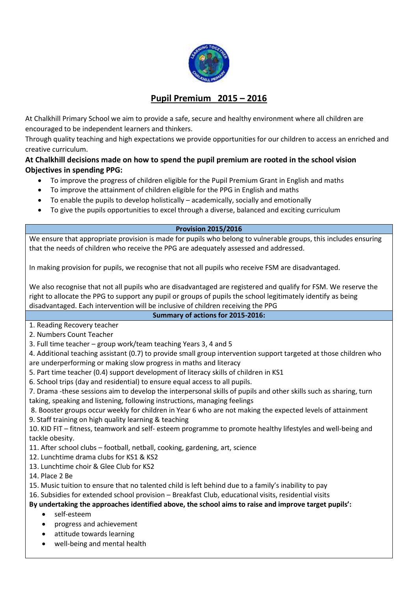

# **Pupil Premium 2015 – 2016**

At Chalkhill Primary School we aim to provide a safe, secure and healthy environment where all children are encouraged to be independent learners and thinkers.

Through quality teaching and high expectations we provide opportunities for our children to access an enriched and creative curriculum.

# **At Chalkhill decisions made on how to spend the pupil premium are rooted in the school vision Objectives in spending PPG:**

- To improve the progress of children eligible for the Pupil Premium Grant in English and maths
- To improve the attainment of children eligible for the PPG in English and maths
- To enable the pupils to develop holistically academically, socially and emotionally
- To give the pupils opportunities to excel through a diverse, balanced and exciting curriculum

#### **Provision 2015/2016**

We ensure that appropriate provision is made for pupils who belong to vulnerable groups, this includes ensuring that the needs of children who receive the PPG are adequately assessed and addressed.

In making provision for pupils, we recognise that not all pupils who receive FSM are disadvantaged.

We also recognise that not all pupils who are disadvantaged are registered and qualify for FSM. We reserve the right to allocate the PPG to support any pupil or groups of pupils the school legitimately identify as being disadvantaged. Each intervention will be inclusive of children receiving the PPG

# **Summary of actions for 2015-2016:**

1. Reading Recovery teacher

2. Numbers Count Teacher

3. Full time teacher – group work/team teaching Years 3, 4 and 5

4. Additional teaching assistant (0.7) to provide small group intervention support targeted at those children who are underperforming or making slow progress in maths and literacy

5. Part time teacher (0.4) support development of literacy skills of children in KS1

6. School trips (day and residential) to ensure equal access to all pupils.

7. Drama -these sessions aim to develop the interpersonal skills of pupils and other skills such as sharing, turn taking, speaking and listening, following instructions, managing feelings

8. Booster groups occur weekly for children in Year 6 who are not making the expected levels of attainment 9. Staff training on high quality learning & teaching

10. KID FIT – fitness, teamwork and self- esteem programme to promote healthy lifestyles and well-being and tackle obesity.

11. After school clubs – football, netball, cooking, gardening, art, science

12. Lunchtime drama clubs for KS1 & KS2

13. Lunchtime choir & Glee Club for KS2

14. Place 2 Be

15. Music tuition to ensure that no talented child is left behind due to a family's inability to pay

16. Subsidies for extended school provision – Breakfast Club, educational visits, residential visits

**By undertaking the approaches identified above, the school aims to raise and improve target pupils':** 

- self-esteem
- progress and achievement
- attitude towards learning
- well-being and mental health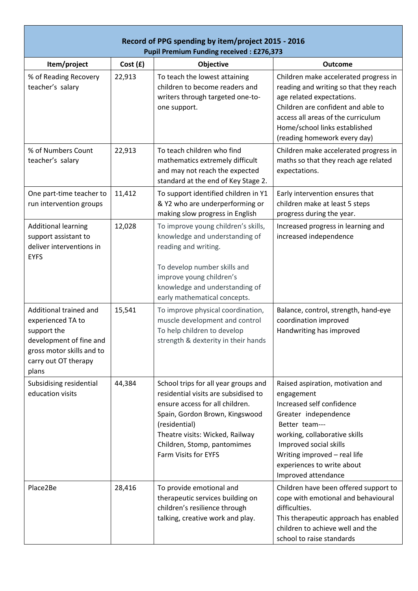| Record of PPG spending by item/project 2015 - 2016<br><b>Pupil Premium Funding received: £276,373</b>                                               |          |                                                                                                                                                                                                                                                              |                                                                                                                                                                                                                                                                        |  |  |  |
|-----------------------------------------------------------------------------------------------------------------------------------------------------|----------|--------------------------------------------------------------------------------------------------------------------------------------------------------------------------------------------------------------------------------------------------------------|------------------------------------------------------------------------------------------------------------------------------------------------------------------------------------------------------------------------------------------------------------------------|--|--|--|
| Item/project                                                                                                                                        | Cost (£) | Objective                                                                                                                                                                                                                                                    | <b>Outcome</b>                                                                                                                                                                                                                                                         |  |  |  |
| % of Reading Recovery<br>teacher's salary                                                                                                           | 22,913   | To teach the lowest attaining<br>children to become readers and<br>writers through targeted one-to-<br>one support.                                                                                                                                          | Children make accelerated progress in<br>reading and writing so that they reach<br>age related expectations.<br>Children are confident and able to<br>access all areas of the curriculum<br>Home/school links established<br>(reading homework every day)              |  |  |  |
| % of Numbers Count<br>teacher's salary                                                                                                              | 22,913   | To teach children who find<br>mathematics extremely difficult<br>and may not reach the expected<br>standard at the end of Key Stage 2.                                                                                                                       | Children make accelerated progress in<br>maths so that they reach age related<br>expectations.                                                                                                                                                                         |  |  |  |
| One part-time teacher to<br>run intervention groups                                                                                                 | 11,412   | To support identified children in Y1<br>& Y2 who are underperforming or<br>making slow progress in English                                                                                                                                                   | Early intervention ensures that<br>children make at least 5 steps<br>progress during the year.                                                                                                                                                                         |  |  |  |
| <b>Additional learning</b><br>support assistant to<br>deliver interventions in<br><b>EYFS</b>                                                       | 12,028   | To improve young children's skills,<br>knowledge and understanding of<br>reading and writing.<br>To develop number skills and<br>improve young children's<br>knowledge and understanding of<br>early mathematical concepts.                                  | Increased progress in learning and<br>increased independence                                                                                                                                                                                                           |  |  |  |
| Additional trained and<br>experienced TA to<br>support the<br>development of fine and<br>gross motor skills and to<br>carry out OT therapy<br>plans | 15,541   | To improve physical coordination,<br>muscle development and control<br>To help children to develop<br>strength & dexterity in their hands                                                                                                                    | Balance, control, strength, hand-eye<br>coordination improved<br>Handwriting has improved                                                                                                                                                                              |  |  |  |
| Subsidising residential<br>education visits                                                                                                         | 44,384   | School trips for all year groups and<br>residential visits are subsidised to<br>ensure access for all children.<br>Spain, Gordon Brown, Kingswood<br>(residential)<br>Theatre visits: Wicked, Railway<br>Children, Stomp, pantomimes<br>Farm Visits for EYFS | Raised aspiration, motivation and<br>engagement<br>Increased self confidence<br>Greater independence<br>Better team---<br>working, collaborative skills<br>Improved social skills<br>Writing improved - real life<br>experiences to write about<br>Improved attendance |  |  |  |
| Place2Be                                                                                                                                            | 28,416   | To provide emotional and<br>therapeutic services building on<br>children's resilience through<br>talking, creative work and play.                                                                                                                            | Children have been offered support to<br>cope with emotional and behavioural<br>difficulties.<br>This therapeutic approach has enabled<br>children to achieve well and the<br>school to raise standards                                                                |  |  |  |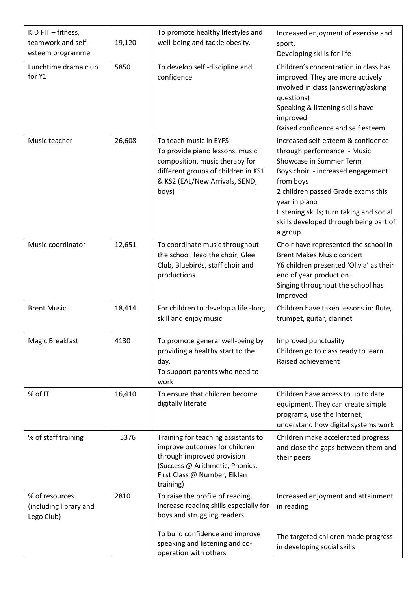| KID FIT - fitness,<br>teamwork and self-<br>esteem programme | 19,120 | To promote healthy lifestyles and<br>well-being and tackle obesity.                                                                                                                | Increased enjoyment of exercise and<br>sport.<br>Developing skills for life                                                                                                                                                                                                                            |  |
|--------------------------------------------------------------|--------|------------------------------------------------------------------------------------------------------------------------------------------------------------------------------------|--------------------------------------------------------------------------------------------------------------------------------------------------------------------------------------------------------------------------------------------------------------------------------------------------------|--|
| Lunchtime drama club<br>for Y1                               | 5850   | To develop self -discipline and<br>confidence                                                                                                                                      | Children's concentration in class has<br>improved. They are more actively<br>involved in class (answering/asking<br>questions)<br>Speaking & listening skills have<br>improved<br>Raised confidence and self esteem                                                                                    |  |
| Music teacher                                                | 26,608 | To teach music in EYFS<br>To provide piano lessons, music<br>composition, music therapy for<br>different groups of children in KS1<br>& KS2 (EAL/New Arrivals, SEND,<br>boys)      | Increased self-esteem & confidence<br>through performance - Music<br>Showcase in Summer Term<br>Boys choir - increased engagement<br>from boys<br>2 children passed Grade exams this<br>year in piano<br>Listening skills; turn taking and social<br>skills developed through being part of<br>a group |  |
| Music coordinator                                            | 12,651 | To coordinate music throughout<br>the school, lead the choir, Glee<br>Club, Bluebirds, staff choir and<br>productions                                                              | Choir have represented the school in<br><b>Brent Makes Music concert</b><br>Y6 children presented 'Olivia' as their<br>end of year production.<br>Singing throughout the school has<br>improved                                                                                                        |  |
| <b>Brent Music</b>                                           | 18,414 | For children to develop a life -long<br>skill and enjoy music                                                                                                                      | Children have taken lessons in: flute,<br>trumpet, guitar, clarinet                                                                                                                                                                                                                                    |  |
| Magic Breakfast                                              | 4130   | To promote general well-being by<br>providing a healthy start to the<br>day.<br>To support parents who need to<br>work                                                             | Improved punctuality<br>Children go to class ready to learn<br>Raised achievement                                                                                                                                                                                                                      |  |
| % of IT                                                      | 16,410 | To ensure that children become<br>digitally literate                                                                                                                               | Children have access to up to date<br>equipment. They can create simple<br>programs, use the internet,<br>understand how digital systems work                                                                                                                                                          |  |
| % of staff training                                          | 5376   | Training for teaching assistants to<br>improve outcomes for children<br>through improved provision<br>(Success @ Arithmetic, Phonics,<br>First Class @ Number, Elklan<br>training) | Children make accelerated progress<br>and close the gaps between them and<br>their peers                                                                                                                                                                                                               |  |
| % of resources<br>(including library and<br>Lego Club)       | 2810   | To raise the profile of reading,<br>increase reading skills especially for<br>boys and struggling readers                                                                          | Increased enjoyment and attainment<br>in reading                                                                                                                                                                                                                                                       |  |
|                                                              |        | To build confidence and improve<br>speaking and listening and co-<br>operation with others                                                                                         | The targeted children made progress<br>in developing social skills                                                                                                                                                                                                                                     |  |